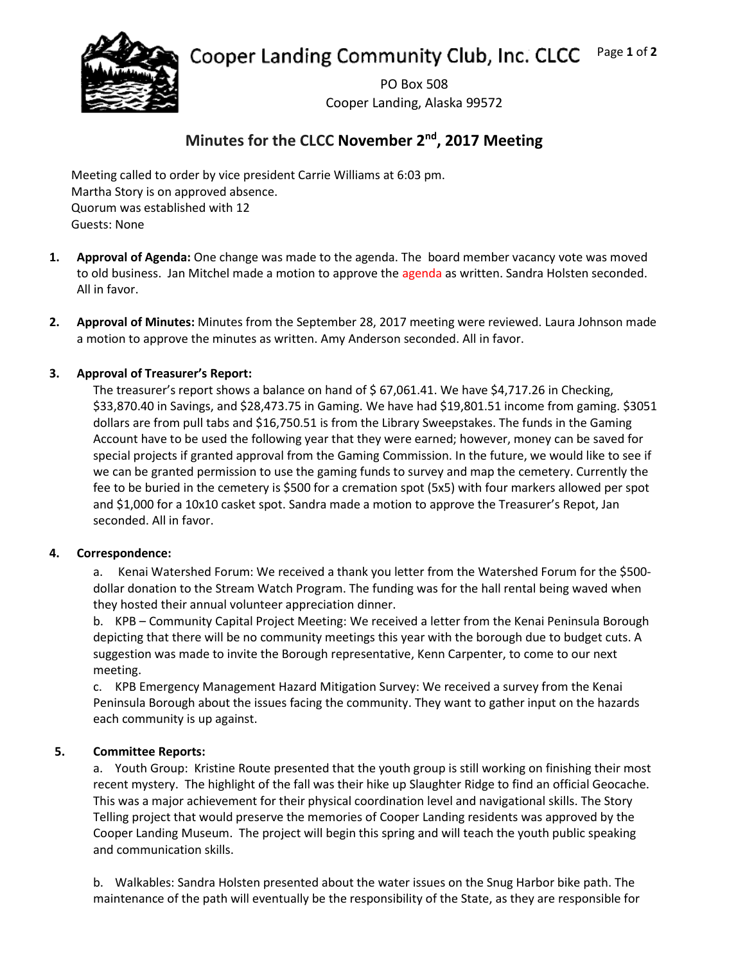Cooper Landing Community Club, Inc. CLCC Page **1** of **2**



PO Box 508 Cooper Landing, Alaska 99572

# **Minutes for the CLCC November 2nd, 2017 Meeting**

Meeting called to order by vice president Carrie Williams at 6:03 pm. Martha Story is on approved absence. Quorum was established with 12 Guests: None

- **1. Approval of Agenda:** One change was made to the agenda. The board member vacancy vote was moved to old business. Jan Mitchel made a motion to approve the agenda as written. Sandra Holsten seconded. All in favor.
- **2. Approval of Minutes:** Minutes from the September 28, 2017 meeting were reviewed. Laura Johnson made a motion to approve the minutes as written. Amy Anderson seconded. All in favor.

## **3. Approval of Treasurer's Report:**

The treasurer's report shows a balance on hand of \$67,061.41. We have \$4,717.26 in Checking, \$33,870.40 in Savings, and \$28,473.75 in Gaming. We have had \$19,801.51 income from gaming. \$3051 dollars are from pull tabs and \$16,750.51 is from the Library Sweepstakes. The funds in the Gaming Account have to be used the following year that they were earned; however, money can be saved for special projects if granted approval from the Gaming Commission. In the future, we would like to see if we can be granted permission to use the gaming funds to survey and map the cemetery. Currently the fee to be buried in the cemetery is \$500 for a cremation spot (5x5) with four markers allowed per spot and \$1,000 for a 10x10 casket spot. Sandra made a motion to approve the Treasurer's Repot, Jan seconded. All in favor.

## **4. Correspondence:**

a. Kenai Watershed Forum: We received a thank you letter from the Watershed Forum for the \$500 dollar donation to the Stream Watch Program. The funding was for the hall rental being waved when they hosted their annual volunteer appreciation dinner.

b. KPB – Community Capital Project Meeting: We received a letter from the Kenai Peninsula Borough depicting that there will be no community meetings this year with the borough due to budget cuts. A suggestion was made to invite the Borough representative, Kenn Carpenter, to come to our next meeting.

c. KPB Emergency Management Hazard Mitigation Survey: We received a survey from the Kenai Peninsula Borough about the issues facing the community. They want to gather input on the hazards each community is up against.

## **5. Committee Reports:**

a. Youth Group: Kristine Route presented that the youth group is still working on finishing their most recent mystery. The highlight of the fall was their hike up Slaughter Ridge to find an official Geocache. This was a major achievement for their physical coordination level and navigational skills. The Story Telling project that would preserve the memories of Cooper Landing residents was approved by the Cooper Landing Museum. The project will begin this spring and will teach the youth public speaking and communication skills.

b. Walkables: Sandra Holsten presented about the water issues on the Snug Harbor bike path. The maintenance of the path will eventually be the responsibility of the State, as they are responsible for